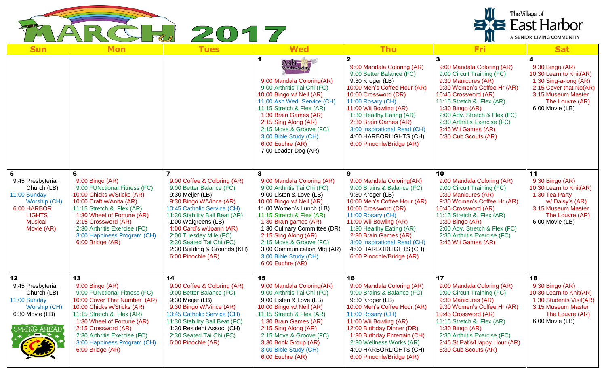

| <b>Sun</b>                                                                                                                            | <b>Mon</b>                                                                                                                                                                                                                                                                               | <b>Tues</b>                                                                                                                                                                                                                                                                                                                            | <b>Wed</b>                                                                                                                                                                                                                                                                                                                                                             | <b>Thu</b>                                                                                                                                                                                                                                                                                                                     | <b>Fri</b>                                                                                                                                                                                                                                                                                             | <b>Sat</b>                                                                                                                                                     |
|---------------------------------------------------------------------------------------------------------------------------------------|------------------------------------------------------------------------------------------------------------------------------------------------------------------------------------------------------------------------------------------------------------------------------------------|----------------------------------------------------------------------------------------------------------------------------------------------------------------------------------------------------------------------------------------------------------------------------------------------------------------------------------------|------------------------------------------------------------------------------------------------------------------------------------------------------------------------------------------------------------------------------------------------------------------------------------------------------------------------------------------------------------------------|--------------------------------------------------------------------------------------------------------------------------------------------------------------------------------------------------------------------------------------------------------------------------------------------------------------------------------|--------------------------------------------------------------------------------------------------------------------------------------------------------------------------------------------------------------------------------------------------------------------------------------------------------|----------------------------------------------------------------------------------------------------------------------------------------------------------------|
|                                                                                                                                       |                                                                                                                                                                                                                                                                                          |                                                                                                                                                                                                                                                                                                                                        | Ash-<br>Wednesday<br>9:00 Mandala Coloring(AR)<br>9:00 Arthritis Tai Chi (FC)<br>10:00 Bingo w/ Neil (AR)<br>11:00 Ash Wed. Service (CH)<br>11:15 Stretch & Flex (AR)<br>1:30 Brain Games (AR)<br>2:15 Sing Along (AR)<br>2:15 Move & Groove (FC)<br>3:00 Bible Study (CH)<br>6:00 Euchre (AR)<br>7:00 Leader Dog (AR)                                                 | 9:00 Mandala Coloring (AR)<br>9:00 Better Balance (FC)<br>9:30 Kroger (LB)<br>10:00 Men's Coffee Hour (AR)<br>10:00 Crossword (DR)<br>11:00 Rosary (CH)<br>11:00 Wii Bowling (AR)<br>1:30 Healthy Eating (AR)<br>2:30 Brain Games (AR)<br>3:00 Inspirational Read (CH)<br>4:00 HARBORLIGHTS (CH)<br>6:00 Pinochle/Bridge (AR)  | 9:00 Mandala Coloring (AR)<br>9:00 Circuit Training (FC)<br>9:30 Manicures (AR)<br>9:30 Women's Coffee Hr (AR)<br>10:45 Crossword (AR)<br>11:15 Stretch & Flex (AR)<br>1:30 Bingo (AR)<br>2:00 Adv. Stretch & Flex (FC)<br>2:30 Arthritis Exercise (FC)<br>2:45 Wii Games (AR)<br>6:30 Cub Scouts (AR) | 4<br>9:30 Bingo (AR)<br>10:30 Learn to Knit(AR)<br>1:30 Sing-a-long (AR)<br>2:15 Cover that No(AR)<br>3:15 Museum Master<br>The Louvre (AR)<br>6:00 Movie (LB) |
| 5<br>9:45 Presbyterian<br>Church (LB)<br>11:00 Sunday<br>Worship (CH)<br>6:00 HARBOR<br><b>LIGHTS</b><br><b>Musical</b><br>Movie (AR) | 6<br>9:00 Bingo (AR)<br>9:00 FUNctional Fitness (FC)<br>10:00 Chicks w/Sticks (AR)<br>10:00 Craft w/Anita (AR)<br>11:15 Stretch & Flex (AR)<br>1:30 Wheel of Fortune (AR)<br>2:15 Crossword (AR)<br>2:30 Arthritis Exercise (FC)<br>3:00 Happiness Program (CH)<br>6:00 Bridge (AR)      | 9:00 Coffee & Coloring (AR)<br>9:00 Better Balance (FC)<br>9:30 Meijer (LB)<br>9:30 Bingo W/Vince (AR)<br>10:45 Catholic Service (CH)<br>11:30 Stability Ball Beat (AR)<br>1:00 Walgreens (LB)<br>1:00 Card's w/Joann (AR)<br>2:00 Tuesday Mile (FC)<br>2:30 Seated Tai Chi (FC)<br>2:30 Building & Grounds (KH)<br>6:00 Pinochle (AR) | 8<br>9:00 Mandala Coloring (AR)<br>9:00 Arthritis Tai Chi (FC)<br>9:00 Listen & Love (LB)<br>10:00 Bingo w/ Neil (AR)<br>11:00 Women's Lunch (LB)<br>11:15 Stretch & Flex (AR)<br>1:30 Brain games (AR)<br>1:30 Culinary Committee (DR)<br>2:15 Sing Along (AR)<br>2:15 Move & Groove (FC)<br>3:00 Communication Mtg (AR)<br>3:00 Bible Study (CH)<br>6:00 Euchre (AR) | 9:00 Mandala Coloring(AR)<br>9:00 Brains & Balance (FC)<br>9:30 Kroger (LB)<br>10:00 Men's Coffee Hour (AR)<br>10:00 Crossword (DR)<br>11:00 Rosary (CH)<br>11:00 Wii Bowling (AR)<br>1:30 Healthy Eating (AR)<br>2:30 Brain Games (AR)<br>3:00 Inspirational Read (CH)<br>4:00 HARBORLIGHTS (CH)<br>6:00 Pinochle/Bridge (AR) | 10<br>9:00 Mandala Coloring (AR)<br>9:00 Circuit Training (FC)<br>9:30 Manicures (AR)<br>9:30 Women's Coffee Hr (AR)<br>10:45 Crossword (AR)<br>11:15 Stretch & Flex (AR)<br>$1:30$ Bingo (AR)<br>2:00 Adv. Stretch & Flex (FC)<br>2:30 Arthritis Exercise (FC)<br>2:45 Wii Games (AR)                 | 11<br>9:30 Bingo (AR)<br>10:30 Learn to Knit(AR)<br>1:30 Tea Party<br>w/Daisy's (AR)<br>3:15 Museum Master<br>The Louvre (AR)<br>6:00 Movie (LB)               |
| 12<br>9:45 Presbyterian<br>Church (LB)<br>11:00 Sunday<br>Worship (CH)<br>6:30 Movie (LB)<br><b>SPRING AHEAD</b>                      | 13<br>9:00 Bingo (AR)<br>9:00 FUNctional Fitness (FC)<br>10:00 Cover That Number (AR)<br>10:00 Chicks w/Sticks (AR)<br>11:15 Stretch & Flex (AR)<br>1:30 Wheel of Fortune (AR)<br>2:15 Crossword (AR)<br>2:30 Arthritis Exercise (FC)<br>3:00 Happiness Program (CH)<br>6:00 Bridge (AR) | 14<br>9:00 Coffee & Coloring (AR)<br>9:00 Better Balance (FC)<br>9:30 Meijer (LB)<br>9:30 Bingo W/Vince (AR)<br>10:45 Catholic Service (CH)<br>11:30 Stability Ball Beat (FC)<br>1:30 Resident Assoc. (CH)<br>2:30 Seated Tai Chi (FC)<br>6:00 Pinochle (AR)                                                                           | 15<br>9:00 Mandala Coloring(AR)<br>9:00 Arthritis Tai Chi (FC)<br>9:00 Listen & Love (LB)<br>10:00 Bingo w/ Neil (AR)<br>11:15 Stretch & Flex (AR)<br>1:30 Brain Games (AR)<br>2:15 Sing Along (AR)<br>2:15 Move & Groove (FC)<br>3:30 Book Group (AR)<br>3:00 Bible Study (CH)<br>6:00 Euchre (AR)                                                                    | 16<br>9:00 Mandala Coloring (AR)<br>9:00 Brains & Balance (FC)<br>9:30 Kroger (LB)<br>10:00 Men's Coffee Hour (AR)<br>11:00 Rosary (CH)<br>11:00 Wii Bowling (AR)<br>12:00 Birthday Dinner (DR)<br>1:30 Birthday Entertain (CH)<br>2:30 Wellness Works (AR)<br>4:00 HARBORLIGHTS (CH)<br>6:00 Pinochle/Bridge (AR)             | 17<br>9:00 Mandala Coloring (AR)<br>9:00 Circuit Training (FC)<br>9:30 Manicures (AR)<br>9:30 Women's Coffee Hr (AR)<br>10:45 Crossword (AR)<br>11:15 Stretch & Flex (AR)<br>$1:30$ Bingo (AR)<br>2:30 Arthritis Exercise (FC)<br>2:45 St.Pat's/Happy Hour (AR)<br>6:30 Cub Scouts (AR)                | 18<br>9:30 Bingo (AR)<br>10:30 Learn to Knit(AR)<br>1:30 Students Visit(AR)<br>3:15 Museum Master<br>The Louvre (AR)<br>6:00 Movie (LB)                        |

The Village of<br>
East Harbor

A SENIOR LIVING COMMUNITY